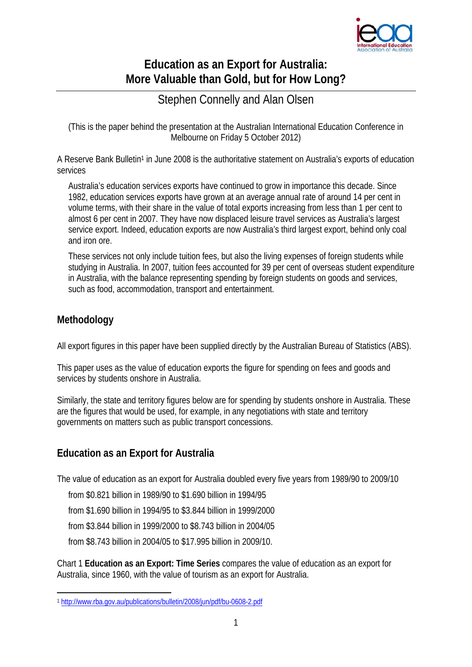

# **Education as an Export for Australia: More Valuable than Gold, but for How Long?**

# Stephen Connelly and Alan Olsen

(This is the paper behind the presentation at the Australian International Education Conference in Melbourne on Friday 5 October 2012)

A Reserve Bank Bulletin<sup>1</sup> in June 2008 is the authoritative statement on Australia's exports of education services

Australia's education services exports have continued to grow in importance this decade. Since 1982, education services exports have grown at an average annual rate of around 14 per cent in volume terms, with their share in the value of total exports increasing from less than 1 per cent to almost 6 per cent in 2007. They have now displaced leisure travel services as Australia's largest service export. Indeed, education exports are now Australia's third largest export, behind only coal and iron ore.

These services not only include tuition fees, but also the living expenses of foreign students while studying in Australia. In 2007, tuition fees accounted for 39 per cent of overseas student expenditure in Australia, with the balance representing spending by foreign students on goods and services, such as food, accommodation, transport and entertainment.

### **Methodology**

1

All export figures in this paper have been supplied directly by the Australian Bureau of Statistics (ABS).

This paper uses as the value of education exports the figure for spending on fees and goods and services by students onshore in Australia.

Similarly, the state and territory figures below are for spending by students onshore in Australia. These are the figures that would be used, for example, in any negotiations with state and territory governments on matters such as public transport concessions.

# **Education as an Export for Australia**

The value of education as an export for Australia doubled every five years from 1989/90 to 2009/10

from \$0.821 billion in 1989/90 to \$1.690 billion in 1994/95

from \$1.690 billion in 1994/95 to \$3.844 billion in 1999/2000

from \$3.844 billion in 1999/2000 to \$8.743 billion in 2004/05

from \$8.743 billion in 2004/05 to \$17.995 billion in 2009/10.

Chart 1 **Education as an Export: Time Series** compares the value of education as an export for Australia, since 1960, with the value of tourism as an export for Australia.

<sup>1</sup> http://www.rba.gov.au/publications/bulletin/2008/jun/pdf/bu-0608-2.pdf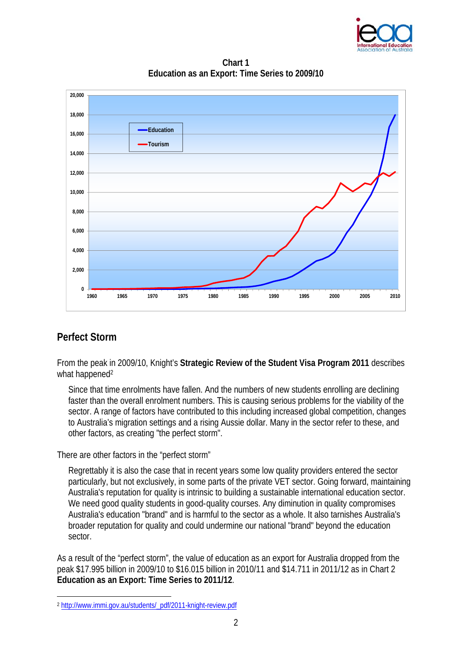

**Chart 1 Education as an Export: Time Series to 2009/10**



# **Perfect Storm**

1

From the peak in 2009/10, Knight's **Strategic Review of the Student Visa Program 2011** describes what happened<sup>2</sup>

Since that time enrolments have fallen. And the numbers of new students enrolling are declining faster than the overall enrolment numbers. This is causing serious problems for the viability of the sector. A range of factors have contributed to this including increased global competition, changes to Australia's migration settings and a rising Aussie dollar. Many in the sector refer to these, and other factors, as creating "the perfect storm".

There are other factors in the "perfect storm"

Regrettably it is also the case that in recent years some low quality providers entered the sector particularly, but not exclusively, in some parts of the private VET sector. Going forward, maintaining Australia's reputation for quality is intrinsic to building a sustainable international education sector. We need good quality students in good-quality courses. Any diminution in quality compromises Australia's education "brand" and is harmful to the sector as a whole. It also tarnishes Australia's broader reputation for quality and could undermine our national "brand" beyond the education sector.

As a result of the "perfect storm", the value of education as an export for Australia dropped from the peak \$17.995 billion in 2009/10 to \$16.015 billion in 2010/11 and \$14.711 in 2011/12 as in Chart 2 **Education as an Export: Time Series to 2011/12**.

<sup>2</sup> http://www.immi.gov.au/students/\_pdf/2011-knight-review.pdf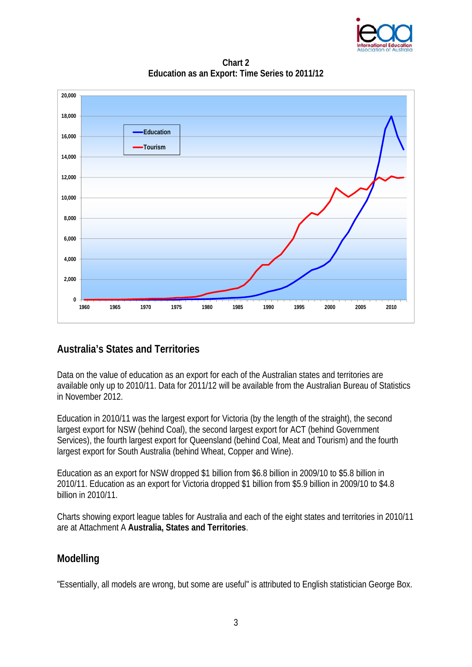

**Chart 2 Education as an Export: Time Series to 2011/12**



### **Australia's States and Territories**

Data on the value of education as an export for each of the Australian states and territories are available only up to 2010/11. Data for 2011/12 will be available from the Australian Bureau of Statistics in November 2012.

Education in 2010/11 was the largest export for Victoria (by the length of the straight), the second largest export for NSW (behind Coal), the second largest export for ACT (behind Government Services), the fourth largest export for Queensland (behind Coal, Meat and Tourism) and the fourth largest export for South Australia (behind Wheat, Copper and Wine).

Education as an export for NSW dropped \$1 billion from \$6.8 billion in 2009/10 to \$5.8 billion in 2010/11. Education as an export for Victoria dropped \$1 billion from \$5.9 billion in 2009/10 to \$4.8 billion in 2010/11.

Charts showing export league tables for Australia and each of the eight states and territories in 2010/11 are at Attachment A **Australia, States and Territories**.

### **Modelling**

"Essentially, all models are wrong, but some are useful" is attributed to English statistician George Box.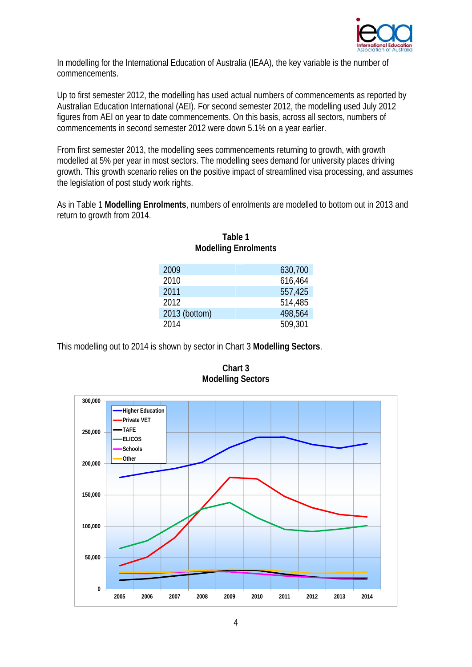

In modelling for the International Education of Australia (IEAA), the key variable is the number of commencements.

Up to first semester 2012, the modelling has used actual numbers of commencements as reported by Australian Education International (AEI). For second semester 2012, the modelling used July 2012 figures from AEI on year to date commencements. On this basis, across all sectors, numbers of commencements in second semester 2012 were down 5.1% on a year earlier.

From first semester 2013, the modelling sees commencements returning to growth, with growth modelled at 5% per year in most sectors. The modelling sees demand for university places driving growth. This growth scenario relies on the positive impact of streamlined visa processing, and assumes the legislation of post study work rights.

As in Table 1 **Modelling Enrolments**, numbers of enrolments are modelled to bottom out in 2013 and return to growth from 2014.

| 2009          | 630,700 |
|---------------|---------|
| 2010          | 616,464 |
| 2011          | 557,425 |
| 2012          | 514,485 |
| 2013 (bottom) | 498,564 |
| 2014          | 509.301 |
|               |         |



This modelling out to 2014 is shown by sector in Chart 3 **Modelling Sectors**.



**Chart 3 Modelling Sectors**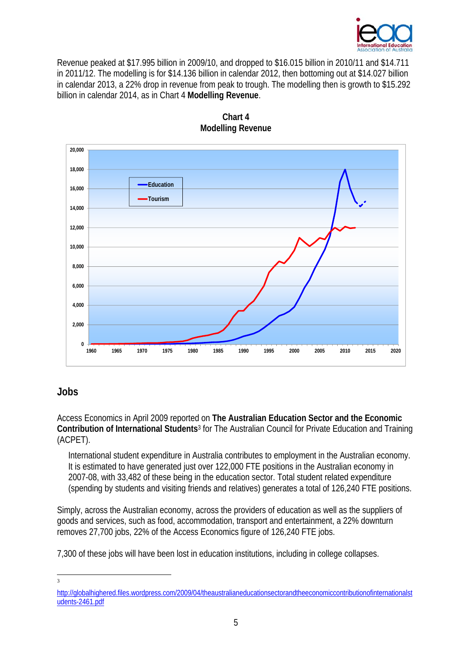

Revenue peaked at \$17.995 billion in 2009/10, and dropped to \$16.015 billion in 2010/11 and \$14.711 in 2011/12. The modelling is for \$14.136 billion in calendar 2012, then bottoming out at \$14.027 billion in calendar 2013, a 22% drop in revenue from peak to trough. The modelling then is growth to \$15.292 billion in calendar 2014, as in Chart 4 **Modelling Revenue**.





#### **Jobs**

Access Economics in April 2009 reported on **The Australian Education Sector and the Economic Contribution of International Students**3 for The Australian Council for Private Education and Training (ACPET).

International student expenditure in Australia contributes to employment in the Australian economy. It is estimated to have generated just over 122,000 FTE positions in the Australian economy in 2007-08, with 33,482 of these being in the education sector. Total student related expenditure (spending by students and visiting friends and relatives) generates a total of 126,240 FTE positions.

Simply, across the Australian economy, across the providers of education as well as the suppliers of goods and services, such as food, accommodation, transport and entertainment, a 22% downturn removes 27,700 jobs, 22% of the Access Economics figure of 126,240 FTE jobs.

7,300 of these jobs will have been lost in education institutions, including in college collapses.

 $\frac{1}{3}$ 

http://globalhighered.files.wordpress.com/2009/04/theaustralianeducationsectorandtheeconomiccontributionofinternationalst udents-2461.pdf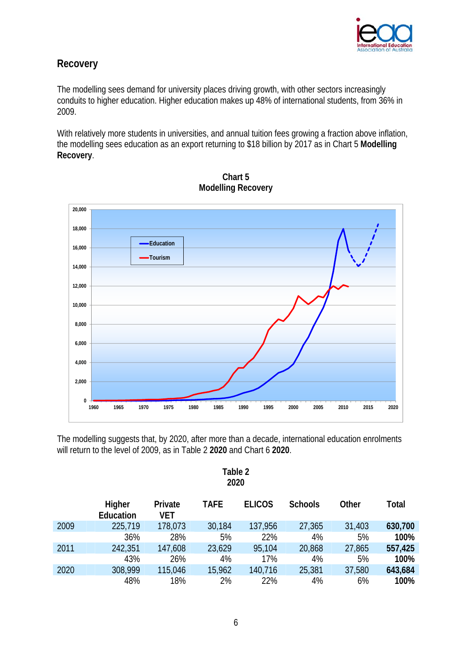

### **Recovery**

The modelling sees demand for university places driving growth, with other sectors increasingly conduits to higher education. Higher education makes up 48% of international students, from 36% in 2009.

With relatively more students in universities, and annual tuition fees growing a fraction above inflation, the modelling sees education as an export returning to \$18 billion by 2017 as in Chart 5 **Modelling Recovery**.





The modelling suggests that, by 2020, after more than a decade, international education enrolments will return to the level of 2009, as in Table 2 **2020** and Chart 6 **2020**.

| Table 2 |  |  |  |  |  |
|---------|--|--|--|--|--|
| 2020    |  |  |  |  |  |

|      | Higher<br>Education | Private<br><b>VET</b> | <b>TAFE</b> | <b>ELICOS</b> | <b>Schools</b> | Other  | Total   |
|------|---------------------|-----------------------|-------------|---------------|----------------|--------|---------|
| 2009 | 225,719             | 178,073               | 30,184      | 137,956       | 27,365         | 31,403 | 630,700 |
|      | 36%                 | 28%                   | 5%          | 22%           | 4%             | 5%     | 100%    |
| 2011 | 242,351             | 147,608               | 23,629      | 95,104        | 20,868         | 27,865 | 557,425 |
|      | 43%                 | 26%                   | 4%          | 17%           | 4%             | 5%     | 100%    |
| 2020 | 308,999             | 115,046               | 15,962      | 140,716       | 25,381         | 37,580 | 643,684 |
|      | 48%                 | 18%                   | 2%          | 22%           | 4%             | 6%     | 100%    |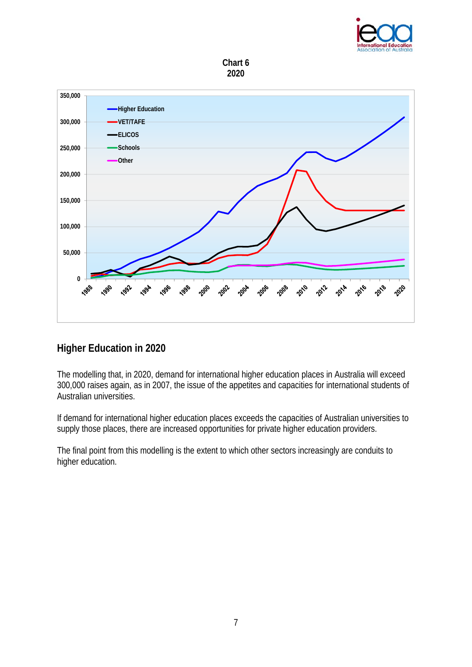





#### **Higher Education in 2020**

The modelling that, in 2020, demand for international higher education places in Australia will exceed 300,000 raises again, as in 2007, the issue of the appetites and capacities for international students of Australian universities.

If demand for international higher education places exceeds the capacities of Australian universities to supply those places, there are increased opportunities for private higher education providers.

The final point from this modelling is the extent to which other sectors increasingly are conduits to higher education.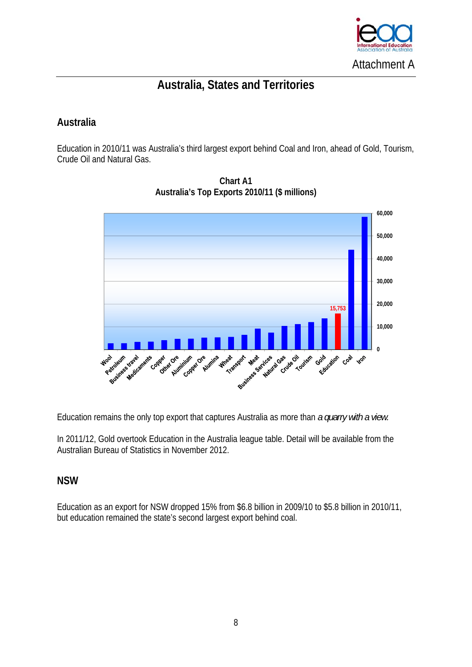

# **Australia, States and Territories**

### **Australia**

Education in 2010/11 was Australia's third largest export behind Coal and Iron, ahead of Gold, Tourism, Crude Oil and Natural Gas.



**Chart A1 Australia's Top Exports 2010/11 (\$ millions)** 

Education remains the only top export that captures Australia as more than *a quarry with a view.* 

In 2011/12, Gold overtook Education in the Australia league table. Detail will be available from the Australian Bureau of Statistics in November 2012.

#### **NSW**

Education as an export for NSW dropped 15% from \$6.8 billion in 2009/10 to \$5.8 billion in 2010/11, but education remained the state's second largest export behind coal.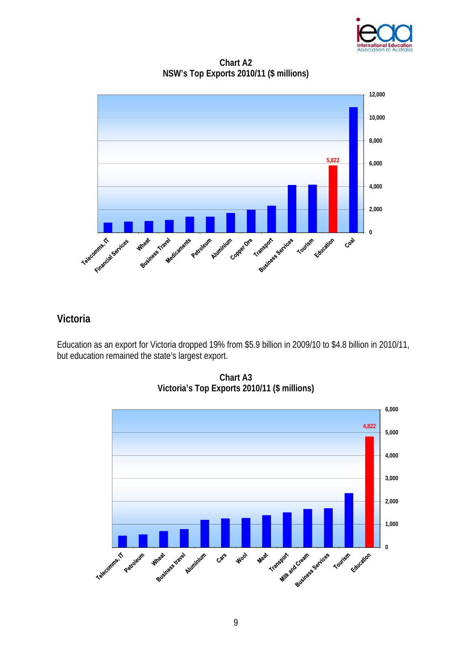

**Chart A2 NSW's Top Exports 2010/11 (\$ millions)** 



### **Victoria**

Education as an export for Victoria dropped 19% from \$5.9 billion in 2009/10 to \$4.8 billion in 2010/11, but education remained the state's largest export.



**Chart A3 Victoria's Top Exports 2010/11 (\$ millions)**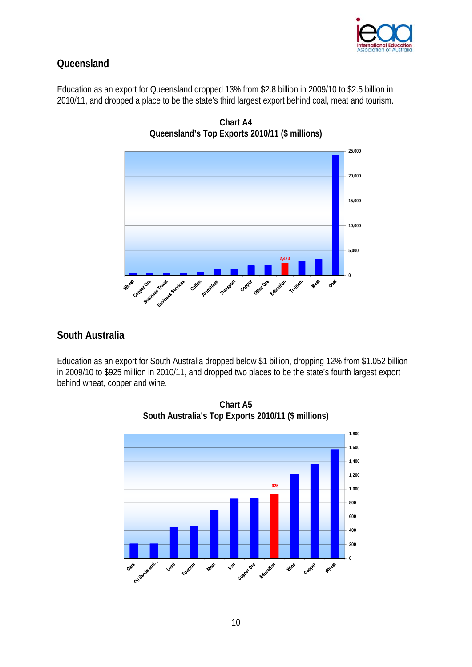

## **Queensland**

Education as an export for Queensland dropped 13% from \$2.8 billion in 2009/10 to \$2.5 billion in 2010/11, and dropped a place to be the state's third largest export behind coal, meat and tourism.



**Chart A4 Queensland's Top Exports 2010/11 (\$ millions)** 

### **South Australia**

Education as an export for South Australia dropped below \$1 billion, dropping 12% from \$1.052 billion in 2009/10 to \$925 million in 2010/11, and dropped two places to be the state's fourth largest export behind wheat, copper and wine.



**Chart A5 South Australia's Top Exports 2010/11 (\$ millions)**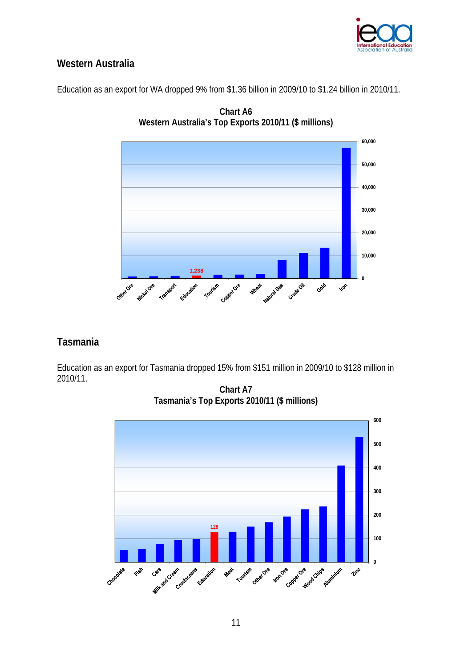

## **Western Australia**

Education as an export for WA dropped 9% from \$1.36 billion in 2009/10 to \$1.24 billion in 2010/11.



**Chart A6 Western Australia's Top Exports 2010/11 (\$ millions)** 

### **Tasmania**

Education as an export for Tasmania dropped 15% from \$151 million in 2009/10 to \$128 million in 2010/11.

**Chart A7 Tasmania's Top Exports 2010/11 (\$ millions)**